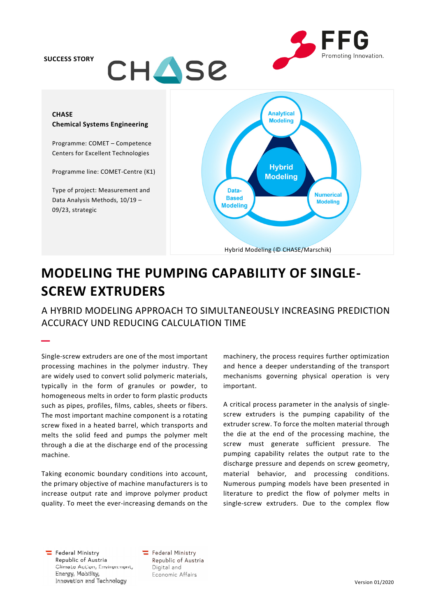## SUCCESS STORY

–



# **CHASE** Chemical Systems Engineering

Programme: COMET – Competence Centers for Excellent Technologies

Programme line: COMET-Centre (K1)

Type of project: Measurement and Data Analysis Methods, 10/19 – 09/23, strategic



# MODELING THE PUMPING CAPABILITY OF SINGLE-SCREW EXTRUDERS

A HYBRID MODELING APPROACH TO SIMULTANEOUSLY INCREASING PREDICTION ACCURACY UND REDUCING CALCULATION TIME

Single-screw extruders are one of the most important processing machines in the polymer industry. They are widely used to convert solid polymeric materials, typically in the form of granules or powder, to homogeneous melts in order to form plastic products such as pipes, profiles, films, cables, sheets or fibers. The most important machine component is a rotating screw fixed in a heated barrel, which transports and melts the solid feed and pumps the polymer melt through a die at the discharge end of the processing machine.

Taking economic boundary conditions into account, the primary objective of machine manufacturers is to increase output rate and improve polymer product quality. To meet the ever-increasing demands on the machinery, the process requires further optimization and hence a deeper understanding of the transport mechanisms governing physical operation is very important.

A critical process parameter in the analysis of singlescrew extruders is the pumping capability of the extruder screw. To force the molten material through the die at the end of the processing machine, the screw must generate sufficient pressure. The pumping capability relates the output rate to the discharge pressure and depends on screw geometry, material behavior, and processing conditions. Numerous pumping models have been presented in literature to predict the flow of polymer melts in single-screw extruders. Due to the complex flow

 $\equiv$  Federal Ministry Republic of Austria Climate Action, Environment, Energy, Mobility, Innovation and Technology

Federal Ministry Republic of Austria Digital and Economic Affairs